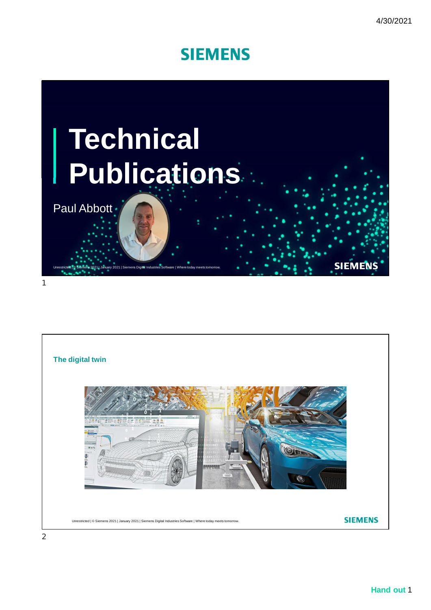

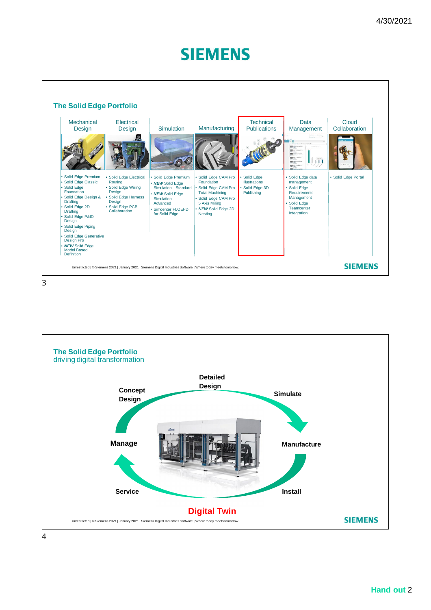

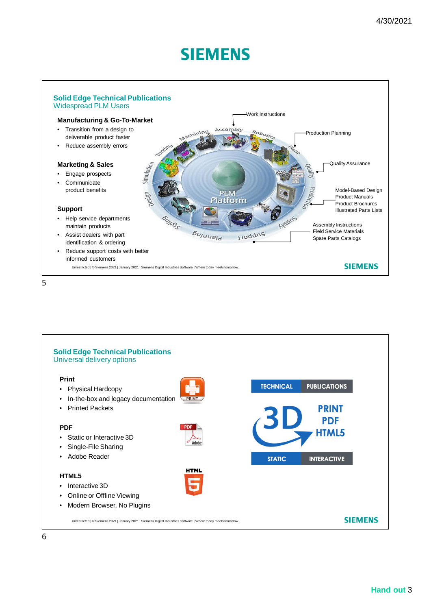

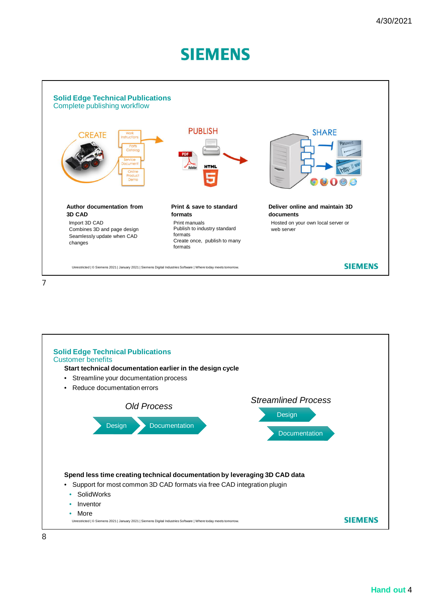



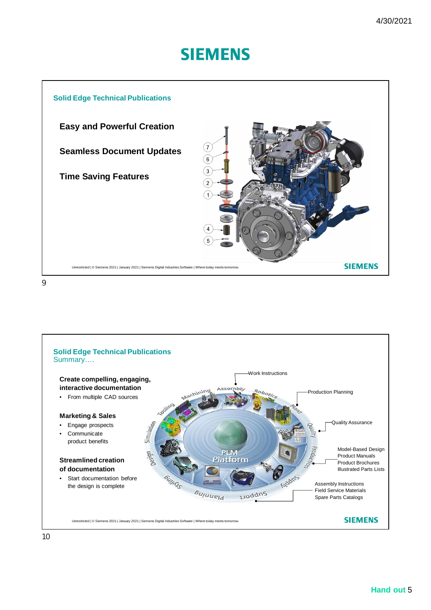